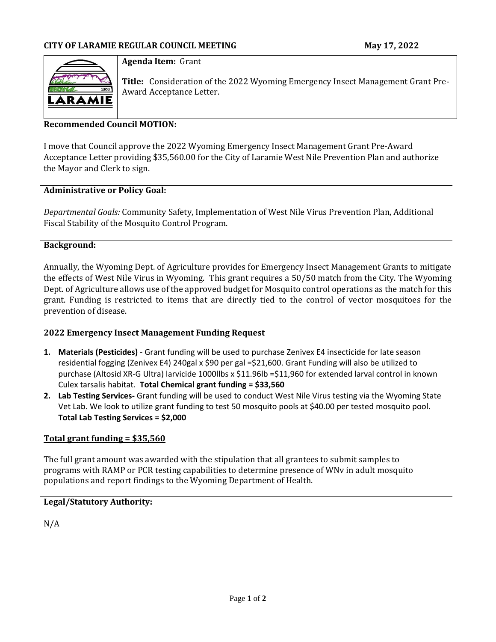

### **Agenda Item:** Grant

**Title:** Consideration of the 2022 Wyoming Emergency Insect Management Grant Pre-Award Acceptance Letter.

## **Recommended Council MOTION:**

I move that Council approve the 2022 Wyoming Emergency Insect Management Grant Pre-Award Acceptance Letter providing \$35,560.00 for the City of Laramie West Nile Prevention Plan and authorize the Mayor and Clerk to sign.

### **Administrative or Policy Goal:**

*Departmental Goals:* Community Safety, Implementation of West Nile Virus Prevention Plan, Additional Fiscal Stability of the Mosquito Control Program.

## **Background:**

Annually, the Wyoming Dept. of Agriculture provides for Emergency Insect Management Grants to mitigate the effects of West Nile Virus in Wyoming. This grant requires a 50/50 match from the City. The Wyoming Dept. of Agriculture allows use of the approved budget for Mosquito control operations as the match for this grant. Funding is restricted to items that are directly tied to the control of vector mosquitoes for the prevention of disease.

## **2022 Emergency Insect Management Funding Request**

- **1. Materials (Pesticides)** Grant funding will be used to purchase Zenivex E4 insecticide for late season residential fogging (Zenivex E4) 240gal x \$90 per gal =\$21,600. Grant Funding will also be utilized to purchase (Altosid XR-G Ultra) larvicide 1000llbs x \$11.96lb =\$11,960 for extended larval control in known Culex tarsalis habitat. **Total Chemical grant funding = \$33,560**
- **2. Lab Testing Services-** Grant funding will be used to conduct West Nile Virus testing via the Wyoming State Vet Lab. We look to utilize grant funding to test 50 mosquito pools at \$40.00 per tested mosquito pool. **Total Lab Testing Services = \$2,000**

## **Total grant funding = \$35,560**

The full grant amount was awarded with the stipulation that all grantees to submit samples to programs with RAMP or PCR testing capabilities to determine presence of WNv in adult mosquito populations and report findings to the Wyoming Department of Health.

#### **Legal/Statutory Authority:**

N/A